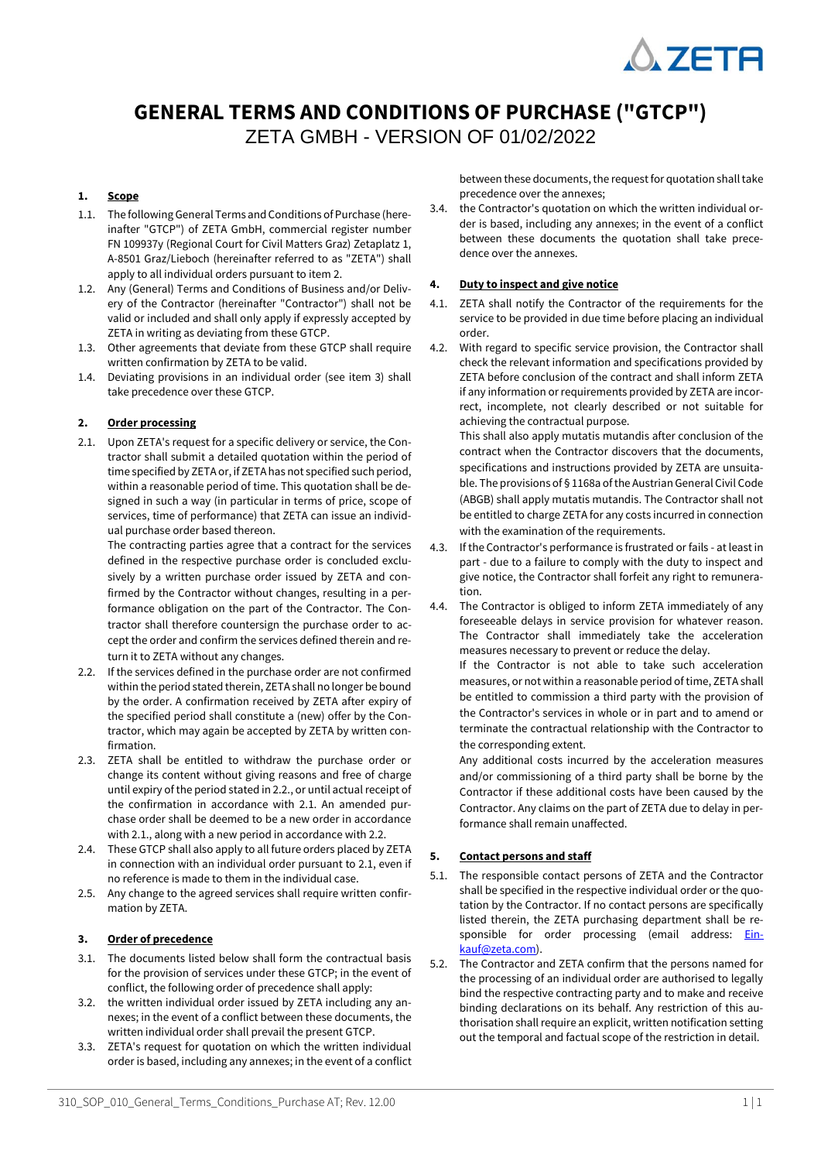

# **GENERAL TERMS AND CONDITIONS OF PURCHASE ("GTCP")**

ZETA GMBH - VERSION OF 01/02/2022

# **1. Scope**

- 1.1. The following General Terms and Conditions of Purchase (hereinafter "GTCP") of ZETA GmbH, commercial register number FN 109937y (Regional Court for Civil Matters Graz) Zetaplatz 1, A-8501 Graz/Lieboch (hereinafter referred to as "ZETA") shall apply to all individual orders pursuant to item 2.
- 1.2. Any (General) Terms and Conditions of Business and/or Delivery of the Contractor (hereinafter "Contractor") shall not be valid or included and shall only apply if expressly accepted by ZETA in writing as deviating from these GTCP.
- 1.3. Other agreements that deviate from these GTCP shall require written confirmation by ZETA to be valid.
- 1.4. Deviating provisions in an individual order (see item 3) shall take precedence over these GTCP.

# **2. Order processing**

2.1. Upon ZETA's request for a specific delivery or service, the Contractor shall submit a detailed quotation within the period of time specified by ZETA or, if ZETA has not specified such period, within a reasonable period of time. This quotation shall be designed in such a way (in particular in terms of price, scope of services, time of performance) that ZETA can issue an individual purchase order based thereon.

The contracting parties agree that a contract for the services defined in the respective purchase order is concluded exclusively by a written purchase order issued by ZETA and confirmed by the Contractor without changes, resulting in a performance obligation on the part of the Contractor. The Contractor shall therefore countersign the purchase order to accept the order and confirm the services defined therein and return it to ZETA without any changes.

- 2.2. If the services defined in the purchase order are not confirmed within the period stated therein, ZETA shall no longer be bound by the order. A confirmation received by ZETA after expiry of the specified period shall constitute a (new) offer by the Contractor, which may again be accepted by ZETA by written confirmation.
- 2.3. ZETA shall be entitled to withdraw the purchase order or change its content without giving reasons and free of charge until expiry of the period stated in 2.2., or until actual receipt of the confirmation in accordance with 2.1. An amended purchase order shall be deemed to be a new order in accordance with 2.1., along with a new period in accordance with 2.2.
- 2.4. These GTCP shall also apply to all future orders placed by ZETA in connection with an individual order pursuant to 2.1, even if no reference is made to them in the individual case.
- 2.5. Any change to the agreed services shall require written confirmation by ZETA.

# **3. Order of precedence**

- 3.1. The documents listed below shall form the contractual basis for the provision of services under these GTCP; in the event of conflict, the following order of precedence shall apply:
- 3.2. the written individual order issued by ZETA including any annexes; in the event of a conflict between these documents, the written individual order shall prevail the present GTCP.
- 3.3. ZETA's request for quotation on which the written individual order is based, including any annexes; in the event of a conflict

between these documents, the request for quotation shall take precedence over the annexes;

3.4. the Contractor's quotation on which the written individual order is based, including any annexes; in the event of a conflict between these documents the quotation shall take precedence over the annexes.

## **4. Duty to inspect and give notice**

- 4.1. ZETA shall notify the Contractor of the requirements for the service to be provided in due time before placing an individual order.
- 4.2. With regard to specific service provision, the Contractor shall check the relevant information and specifications provided by ZETA before conclusion of the contract and shall inform ZETA if any information or requirements provided by ZETA are incorrect, incomplete, not clearly described or not suitable for achieving the contractual purpose.

This shall also apply mutatis mutandis after conclusion of the contract when the Contractor discovers that the documents, specifications and instructions provided by ZETA are unsuitable. The provisions of § 1168a of the Austrian General Civil Code (ABGB) shall apply mutatis mutandis. The Contractor shall not be entitled to charge ZETA for any costs incurred in connection with the examination of the requirements.

- 4.3. If the Contractor's performance is frustrated or fails at least in part - due to a failure to comply with the duty to inspect and give notice, the Contractor shall forfeit any right to remuneration.
- 4.4. The Contractor is obliged to inform ZETA immediately of any foreseeable delays in service provision for whatever reason. The Contractor shall immediately take the acceleration measures necessary to prevent or reduce the delay.

If the Contractor is not able to take such acceleration measures, or not within a reasonable period of time, ZETA shall be entitled to commission a third party with the provision of the Contractor's services in whole or in part and to amend or terminate the contractual relationship with the Contractor to the corresponding extent.

Any additional costs incurred by the acceleration measures and/or commissioning of a third party shall be borne by the Contractor if these additional costs have been caused by the Contractor. Any claims on the part of ZETA due to delay in performance shall remain unaffected.

# **5. Contact persons and staff**

- 5.1. The responsible contact persons of ZETA and the Contractor shall be specified in the respective individual order or the quotation by the Contractor. If no contact persons are specifically listed therein, the ZETA purchasing department shall be re-sponsible for order processing (email address: [Ein](mailto:Einkauf@zeta.com)[kauf@zeta.com\)](mailto:Einkauf@zeta.com).
- 5.2. The Contractor and ZETA confirm that the persons named for the processing of an individual order are authorised to legally bind the respective contracting party and to make and receive binding declarations on its behalf. Any restriction of this authorisation shall require an explicit, written notification setting out the temporal and factual scope of the restriction in detail.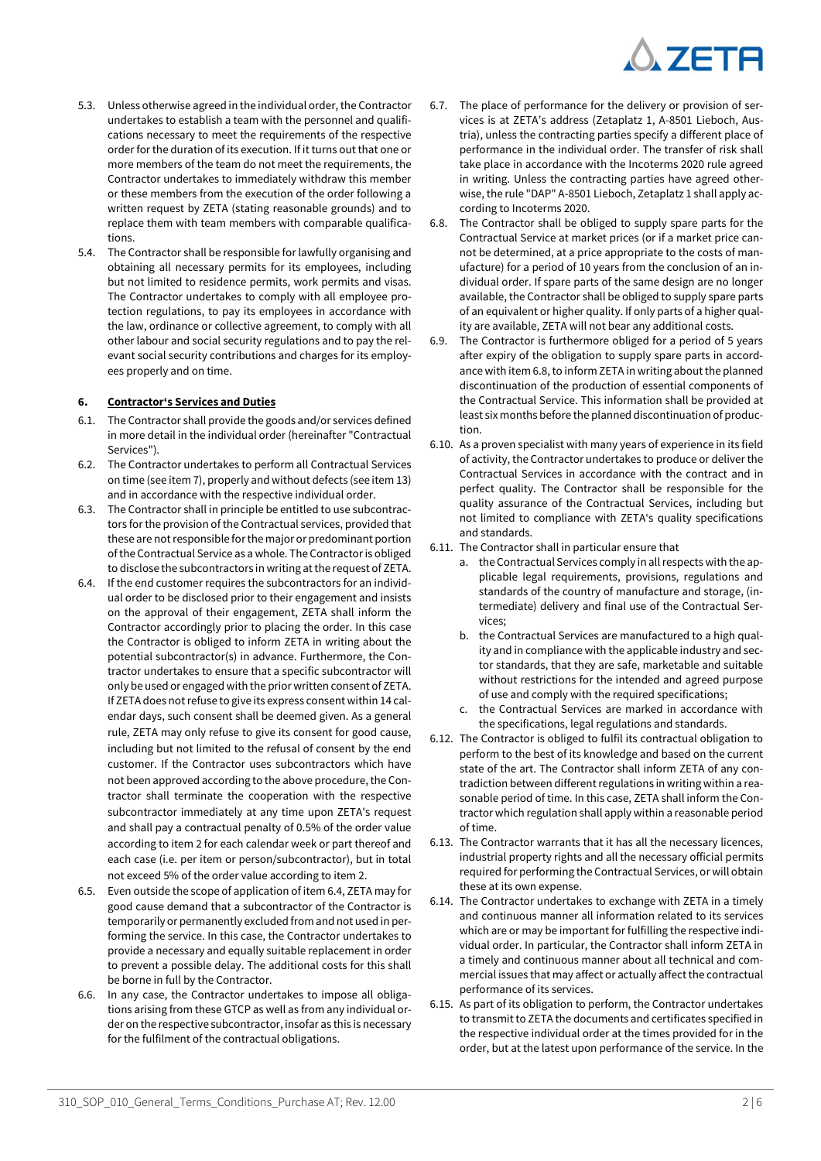

- 5.3. Unless otherwise agreed in the individual order, the Contractor undertakes to establish a team with the personnel and qualifications necessary to meet the requirements of the respective order for the duration of its execution. If it turns out that one or more members of the team do not meet the requirements, the Contractor undertakes to immediately withdraw this member or these members from the execution of the order following a written request by ZETA (stating reasonable grounds) and to replace them with team members with comparable qualifications.
- 5.4. The Contractor shall be responsible for lawfully organising and obtaining all necessary permits for its employees, including but not limited to residence permits, work permits and visas. The Contractor undertakes to comply with all employee protection regulations, to pay its employees in accordance with the law, ordinance or collective agreement, to comply with all other labour and social security regulations and to pay the relevant social security contributions and charges for its employees properly and on time.

## **6. Contractor's Services and Duties**

- 6.1. The Contractor shall provide the goods and/or services defined in more detail in the individual order (hereinafter "Contractual Services").
- 6.2. The Contractor undertakes to perform all Contractual Services on time (see item 7), properly and without defects (see item 13) and in accordance with the respective individual order.
- 6.3. The Contractor shall in principle be entitled to use subcontractors for the provision of the Contractual services, provided that these are not responsible for the major or predominant portion of the Contractual Service as a whole. The Contractor is obliged to disclose the subcontractors in writing at the request of ZETA.
- 6.4. If the end customer requires the subcontractors for an individual order to be disclosed prior to their engagement and insists on the approval of their engagement, ZETA shall inform the Contractor accordingly prior to placing the order. In this case the Contractor is obliged to inform ZETA in writing about the potential subcontractor(s) in advance. Furthermore, the Contractor undertakes to ensure that a specific subcontractor will only be used or engaged with the prior written consent of ZETA. If ZETA does not refuse to give its express consent within 14 calendar days, such consent shall be deemed given. As a general rule, ZETA may only refuse to give its consent for good cause, including but not limited to the refusal of consent by the end customer. If the Contractor uses subcontractors which have not been approved according to the above procedure, the Contractor shall terminate the cooperation with the respective subcontractor immediately at any time upon ZETA's request and shall pay a contractual penalty of 0.5% of the order value according to item 2 for each calendar week or part thereof and each case (i.e. per item or person/subcontractor), but in total not exceed 5% of the order value according to item 2.
- 6.5. Even outside the scope of application of item 6.4, ZETA may for good cause demand that a subcontractor of the Contractor is temporarily or permanently excluded from and not used in performing the service. In this case, the Contractor undertakes to provide a necessary and equally suitable replacement in order to prevent a possible delay. The additional costs for this shall be borne in full by the Contractor.
- 6.6. In any case, the Contractor undertakes to impose all obligations arising from these GTCP as well as from any individual order on the respective subcontractor, insofar as this is necessary for the fulfilment of the contractual obligations.
- 6.7. The place of performance for the delivery or provision of services is at ZETA's address (Zetaplatz 1, A-8501 Lieboch, Austria), unless the contracting parties specify a different place of performance in the individual order. The transfer of risk shall take place in accordance with the Incoterms 2020 rule agreed in writing. Unless the contracting parties have agreed otherwise, the rule "DAP" A-8501 Lieboch, Zetaplatz 1 shall apply according to Incoterms 2020.
- <span id="page-1-0"></span>6.8. The Contractor shall be obliged to supply spare parts for the Contractual Service at market prices (or if a market price cannot be determined, at a price appropriate to the costs of manufacture) for a period of 10 years from the conclusion of an individual order. If spare parts of the same design are no longer available, the Contractor shall be obliged to supply spare parts of an equivalent or higher quality. If only parts of a higher quality are available, ZETA will not bear any additional costs.
- 6.9. The Contractor is furthermore obliged for a period of 5 years after expiry of the obligation to supply spare parts in accordance with ite[m 6.8,](#page-1-0) to inform ZETA in writing about the planned discontinuation of the production of essential components of the Contractual Service. This information shall be provided at least six months before the planned discontinuation of production.
- 6.10. As a proven specialist with many years of experience in its field of activity, the Contractor undertakes to produce or deliver the Contractual Services in accordance with the contract and in perfect quality. The Contractor shall be responsible for the quality assurance of the Contractual Services, including but not limited to compliance with ZETA's quality specifications and standards.
- 6.11. The Contractor shall in particular ensure that
	- a. the Contractual Services comply in all respects with the applicable legal requirements, provisions, regulations and standards of the country of manufacture and storage, (intermediate) delivery and final use of the Contractual Services;
	- b. the Contractual Services are manufactured to a high quality and in compliance with the applicable industry and sector standards, that they are safe, marketable and suitable without restrictions for the intended and agreed purpose of use and comply with the required specifications;
	- c. the Contractual Services are marked in accordance with the specifications, legal regulations and standards.
- 6.12. The Contractor is obliged to fulfil its contractual obligation to perform to the best of its knowledge and based on the current state of the art. The Contractor shall inform ZETA of any contradiction between different regulations in writing within a reasonable period of time. In this case, ZETA shall inform the Contractor which regulation shall apply within a reasonable period of time.
- 6.13. The Contractor warrants that it has all the necessary licences, industrial property rights and all the necessary official permits required for performing the Contractual Services, or will obtain these at its own expense.
- 6.14. The Contractor undertakes to exchange with ZETA in a timely and continuous manner all information related to its services which are or may be important for fulfilling the respective individual order. In particular, the Contractor shall inform ZETA in a timely and continuous manner about all technical and commercial issues that may affect or actually affect the contractual performance of its services.
- 6.15. As part of its obligation to perform, the Contractor undertakes to transmit to ZETA the documents and certificates specified in the respective individual order at the times provided for in the order, but at the latest upon performance of the service. In the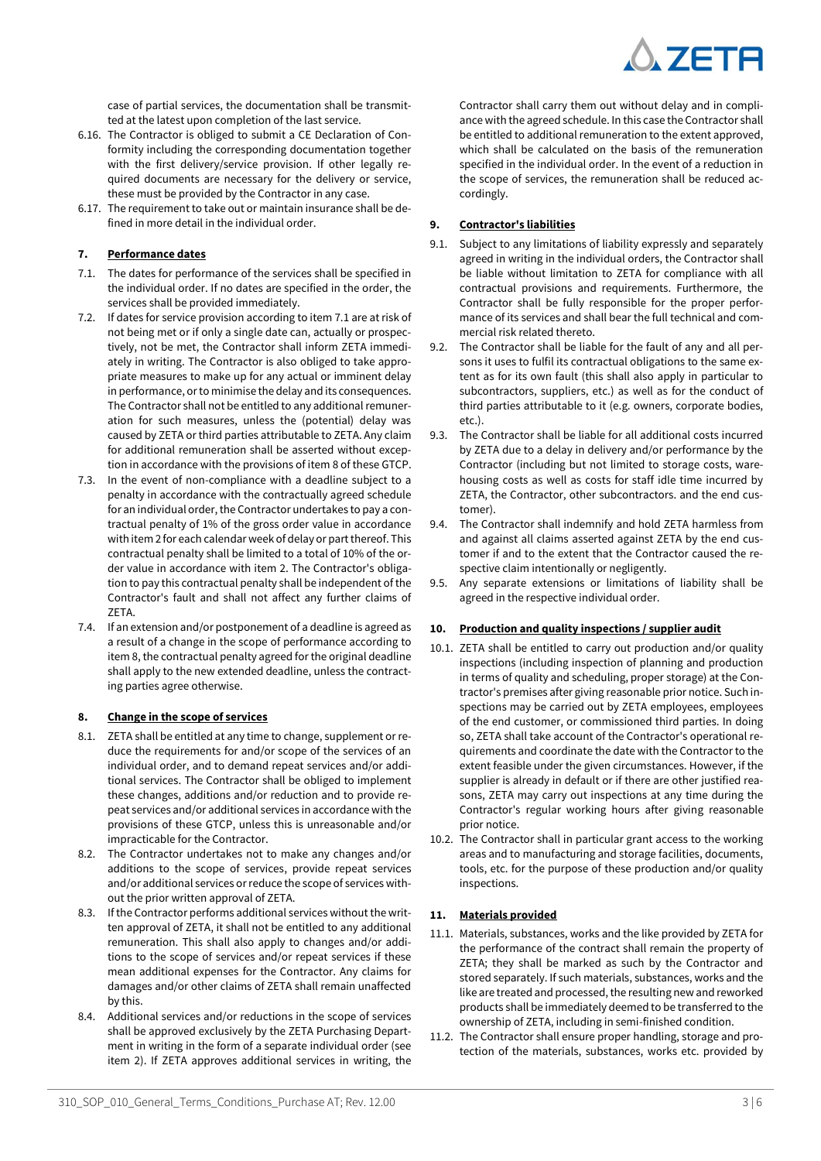

case of partial services, the documentation shall be transmitted at the latest upon completion of the last service.

- 6.16. The Contractor is obliged to submit a CE Declaration of Conformity including the corresponding documentation together with the first delivery/service provision. If other legally required documents are necessary for the delivery or service, these must be provided by the Contractor in any case.
- 6.17. The requirement to take out or maintain insurance shall be defined in more detail in the individual order.

## **7. Performance dates**

- 7.1. The dates for performance of the services shall be specified in the individual order. If no dates are specified in the order, the services shall be provided immediately.
- 7.2. If dates for service provision according to item 7.1 are at risk of not being met or if only a single date can, actually or prospectively, not be met, the Contractor shall inform ZETA immediately in writing. The Contractor is also obliged to take appropriate measures to make up for any actual or imminent delay in performance, or to minimise the delay and its consequences. The Contractor shall not be entitled to any additional remuneration for such measures, unless the (potential) delay was caused by ZETA or third parties attributable to ZETA. Any claim for additional remuneration shall be asserted without exception in accordance with the provisions of item 8 of these GTCP.
- 7.3. In the event of non-compliance with a deadline subject to a penalty in accordance with the contractually agreed schedule for an individual order, the Contractor undertakes to pay a contractual penalty of 1% of the gross order value in accordance with item 2 for each calendar week of delay or part thereof. This contractual penalty shall be limited to a total of 10% of the order value in accordance with item 2. The Contractor's obligation to pay this contractual penalty shall be independent of the Contractor's fault and shall not affect any further claims of ZETA.
- 7.4. If an extension and/or postponement of a deadline is agreed as a result of a change in the scope of performance according to item 8, the contractual penalty agreed for the original deadline shall apply to the new extended deadline, unless the contracting parties agree otherwise.

## **8. Change in the scope of services**

- 8.1. ZETA shall be entitled at any time to change, supplement or reduce the requirements for and/or scope of the services of an individual order, and to demand repeat services and/or additional services. The Contractor shall be obliged to implement these changes, additions and/or reduction and to provide repeat services and/or additional services in accordance with the provisions of these GTCP, unless this is unreasonable and/or impracticable for the Contractor.
- 8.2. The Contractor undertakes not to make any changes and/or additions to the scope of services, provide repeat services and/or additional services or reduce the scope of services without the prior written approval of ZETA.
- 8.3. If the Contractor performs additional services without the written approval of ZETA, it shall not be entitled to any additional remuneration. This shall also apply to changes and/or additions to the scope of services and/or repeat services if these mean additional expenses for the Contractor. Any claims for damages and/or other claims of ZETA shall remain unaffected by this.
- 8.4. Additional services and/or reductions in the scope of services shall be approved exclusively by the ZETA Purchasing Department in writing in the form of a separate individual order (see item 2). If ZETA approves additional services in writing, the

Contractor shall carry them out without delay and in compliance with the agreed schedule. In this case the Contractor shall be entitled to additional remuneration to the extent approved, which shall be calculated on the basis of the remuneration specified in the individual order. In the event of a reduction in the scope of services, the remuneration shall be reduced accordingly.

## **9. Contractor's liabilities**

- 9.1. Subject to any limitations of liability expressly and separately agreed in writing in the individual orders, the Contractor shall be liable without limitation to ZETA for compliance with all contractual provisions and requirements. Furthermore, the Contractor shall be fully responsible for the proper performance of its services and shall bear the full technical and commercial risk related thereto.
- 9.2. The Contractor shall be liable for the fault of any and all persons it uses to fulfil its contractual obligations to the same extent as for its own fault (this shall also apply in particular to subcontractors, suppliers, etc.) as well as for the conduct of third parties attributable to it (e.g. owners, corporate bodies, etc.).
- 9.3. The Contractor shall be liable for all additional costs incurred by ZETA due to a delay in delivery and/or performance by the Contractor (including but not limited to storage costs, warehousing costs as well as costs for staff idle time incurred by ZETA, the Contractor, other subcontractors. and the end customer).
- 9.4. The Contractor shall indemnify and hold ZETA harmless from and against all claims asserted against ZETA by the end customer if and to the extent that the Contractor caused the respective claim intentionally or negligently.
- 9.5. Any separate extensions or limitations of liability shall be agreed in the respective individual order.

#### **10. Production and quality inspections / supplier audit**

- 10.1. ZETA shall be entitled to carry out production and/or quality inspections (including inspection of planning and production in terms of quality and scheduling, proper storage) at the Contractor's premises after giving reasonable prior notice. Such inspections may be carried out by ZETA employees, employees of the end customer, or commissioned third parties. In doing so, ZETA shall take account of the Contractor's operational requirements and coordinate the date with the Contractor to the extent feasible under the given circumstances. However, if the supplier is already in default or if there are other justified reasons, ZETA may carry out inspections at any time during the Contractor's regular working hours after giving reasonable prior notice.
- 10.2. The Contractor shall in particular grant access to the working areas and to manufacturing and storage facilities, documents, tools, etc. for the purpose of these production and/or quality inspections.

#### **11. Materials provided**

- 11.1. Materials, substances, works and the like provided by ZETA for the performance of the contract shall remain the property of ZETA; they shall be marked as such by the Contractor and stored separately. If such materials, substances, works and the like are treated and processed, the resulting new and reworked products shall be immediately deemed to be transferred to the ownership of ZETA, including in semi-finished condition.
- 11.2. The Contractor shall ensure proper handling, storage and protection of the materials, substances, works etc. provided by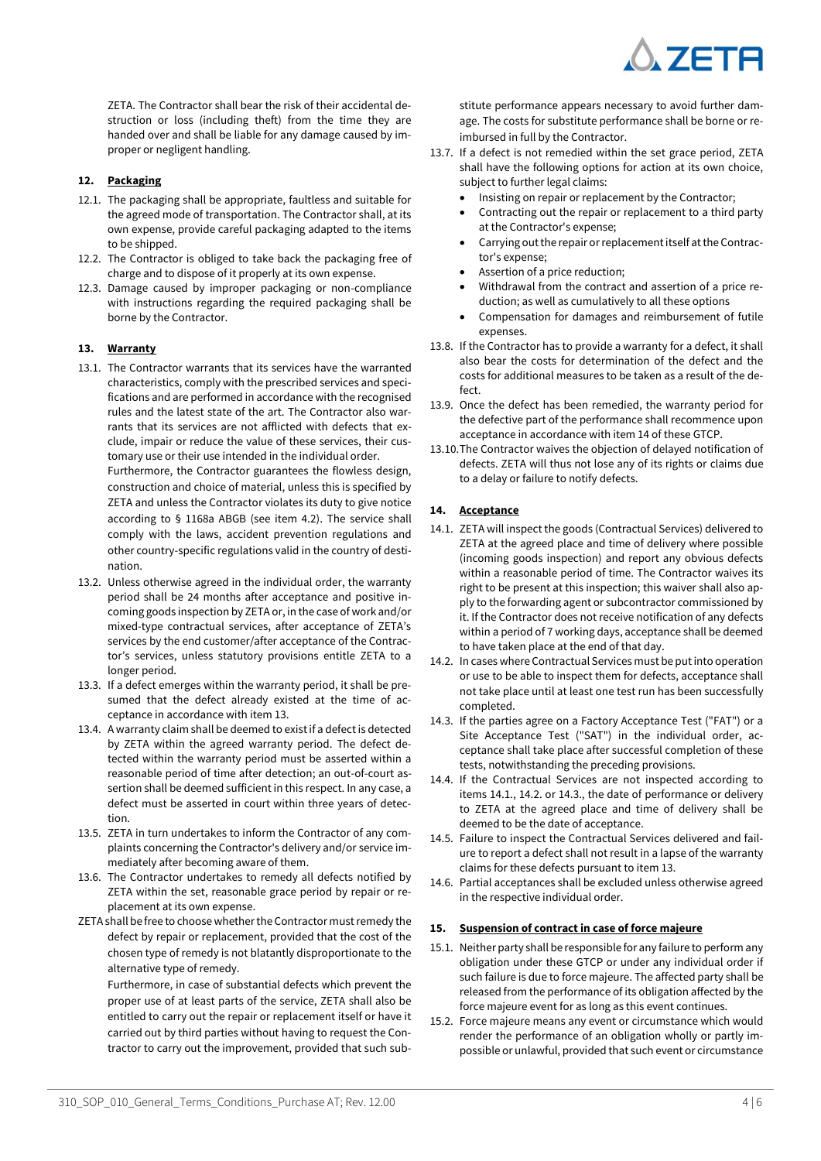

ZETA. The Contractor shall bear the risk of their accidental destruction or loss (including theft) from the time they are handed over and shall be liable for any damage caused by improper or negligent handling.

## **12. Packaging**

- 12.1. The packaging shall be appropriate, faultless and suitable for the agreed mode of transportation. The Contractor shall, at its own expense, provide careful packaging adapted to the items to be shipped.
- 12.2. The Contractor is obliged to take back the packaging free of charge and to dispose of it properly at its own expense.
- 12.3. Damage caused by improper packaging or non-compliance with instructions regarding the required packaging shall be borne by the Contractor.

## **13. Warranty**

13.1. The Contractor warrants that its services have the warranted characteristics, comply with the prescribed services and specifications and are performed in accordance with the recognised rules and the latest state of the art. The Contractor also warrants that its services are not afflicted with defects that exclude, impair or reduce the value of these services, their customary use or their use intended in the individual order.

Furthermore, the Contractor guarantees the flowless design, construction and choice of material, unless this is specified by ZETA and unless the Contractor violates its duty to give notice according to § 1168a ABGB (see item 4.2). The service shall comply with the laws, accident prevention regulations and other country-specific regulations valid in the country of destination.

- 13.2. Unless otherwise agreed in the individual order, the warranty period shall be 24 months after acceptance and positive incoming goods inspection by ZETA or, in the case of work and/or mixed-type contractual services, after acceptance of ZETA's services by the end customer/after acceptance of the Contractor's services, unless statutory provisions entitle ZETA to a longer period.
- 13.3. If a defect emerges within the warranty period, it shall be presumed that the defect already existed at the time of acceptance in accordance with item 13.
- 13.4. A warranty claim shall be deemed to exist if a defect is detected by ZETA within the agreed warranty period. The defect detected within the warranty period must be asserted within a reasonable period of time after detection; an out-of-court assertion shall be deemed sufficient in this respect. In any case, a defect must be asserted in court within three years of detection.
- 13.5. ZETA in turn undertakes to inform the Contractor of any complaints concerning the Contractor's delivery and/or service immediately after becoming aware of them.
- 13.6. The Contractor undertakes to remedy all defects notified by ZETA within the set, reasonable grace period by repair or replacement at its own expense.
- ZETA shall be free to choose whether the Contractor must remedy the defect by repair or replacement, provided that the cost of the chosen type of remedy is not blatantly disproportionate to the alternative type of remedy.

Furthermore, in case of substantial defects which prevent the proper use of at least parts of the service, ZETA shall also be entitled to carry out the repair or replacement itself or have it carried out by third parties without having to request the Contractor to carry out the improvement, provided that such substitute performance appears necessary to avoid further damage. The costs for substitute performance shall be borne or reimbursed in full by the Contractor.

- 13.7. If a defect is not remedied within the set grace period, ZETA shall have the following options for action at its own choice, subject to further legal claims:
	- Insisting on repair or replacement by the Contractor;
	- Contracting out the repair or replacement to a third party at the Contractor's expense;
	- Carrying out the repair or replacement itself at the Contractor's expense;
	- Assertion of a price reduction;
	- Withdrawal from the contract and assertion of a price reduction; as well as cumulatively to all these options
	- Compensation for damages and reimbursement of futile expenses.
- 13.8. If the Contractor has to provide a warranty for a defect, it shall also bear the costs for determination of the defect and the costs for additional measures to be taken as a result of the defect.
- 13.9. Once the defect has been remedied, the warranty period for the defective part of the performance shall recommence upon acceptance in accordance with item 14 of these GTCP.
- 13.10.The Contractor waives the objection of delayed notification of defects. ZETA will thus not lose any of its rights or claims due to a delay or failure to notify defects.

## **14. Acceptance**

- 14.1. ZETA will inspect the goods (Contractual Services) delivered to ZETA at the agreed place and time of delivery where possible (incoming goods inspection) and report any obvious defects within a reasonable period of time. The Contractor waives its right to be present at this inspection; this waiver shall also apply to the forwarding agent or subcontractor commissioned by it. If the Contractor does not receive notification of any defects within a period of 7 working days, acceptance shall be deemed to have taken place at the end of that day.
- 14.2. In cases where Contractual Services must be put into operation or use to be able to inspect them for defects, acceptance shall not take place until at least one test run has been successfully completed.
- 14.3. If the parties agree on a Factory Acceptance Test ("FAT") or a Site Acceptance Test ("SAT") in the individual order, acceptance shall take place after successful completion of these tests, notwithstanding the preceding provisions.
- 14.4. If the Contractual Services are not inspected according to items 14.1., 14.2. or 14.3., the date of performance or delivery to ZETA at the agreed place and time of delivery shall be deemed to be the date of acceptance.
- 14.5. Failure to inspect the Contractual Services delivered and failure to report a defect shall not result in a lapse of the warranty claims for these defects pursuant to item 13.
- 14.6. Partial acceptances shall be excluded unless otherwise agreed in the respective individual order.

## **15. Suspension of contract in case of force majeure**

- 15.1. Neither party shall be responsible for any failure to perform any obligation under these GTCP or under any individual order if such failure is due to force majeure. The affected party shall be released from the performance of its obligation affected by the force majeure event for as long as this event continues.
- 15.2. Force majeure means any event or circumstance which would render the performance of an obligation wholly or partly impossible or unlawful, provided that such event or circumstance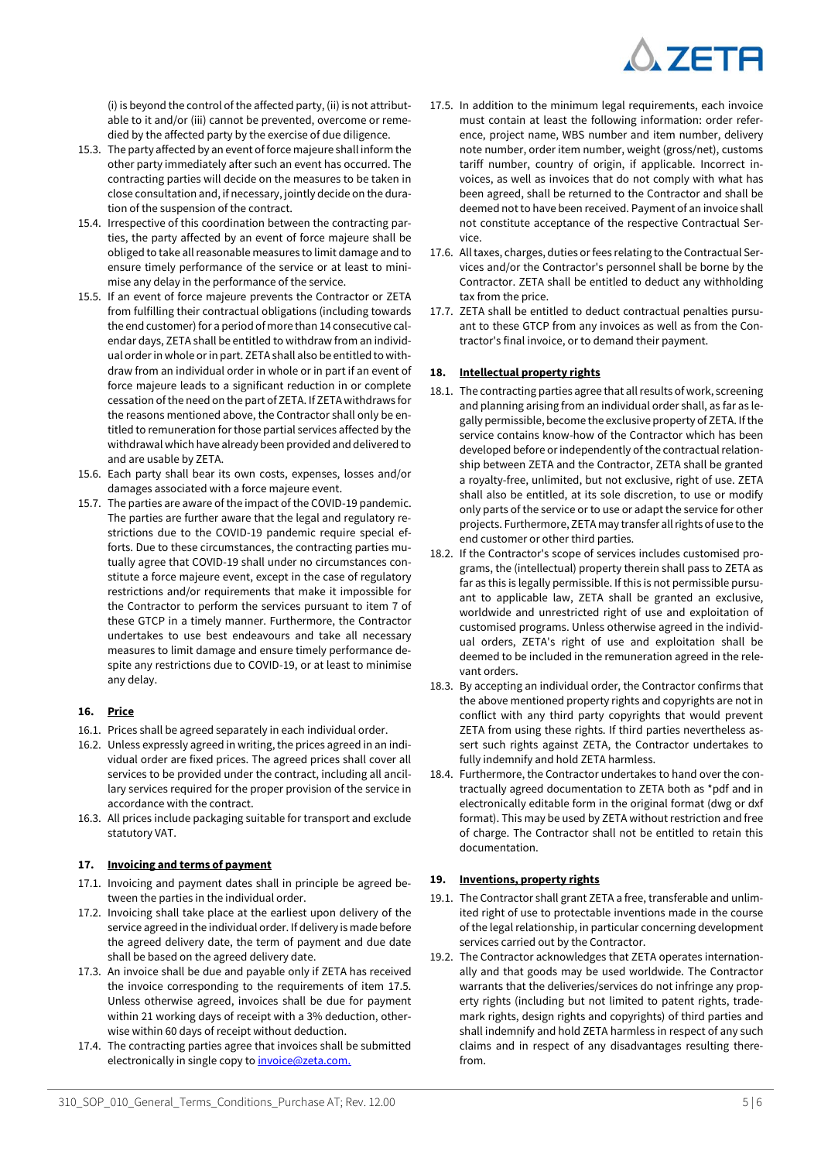

(i) is beyond the control of the affected party, (ii) is not attributable to it and/or (iii) cannot be prevented, overcome or remedied by the affected party by the exercise of due diligence.

- 15.3. The party affected by an event of force majeure shall inform the other party immediately after such an event has occurred. The contracting parties will decide on the measures to be taken in close consultation and, if necessary, jointly decide on the duration of the suspension of the contract.
- 15.4. Irrespective of this coordination between the contracting parties, the party affected by an event of force majeure shall be obliged to take all reasonable measures to limit damage and to ensure timely performance of the service or at least to minimise any delay in the performance of the service.
- 15.5. If an event of force majeure prevents the Contractor or ZETA from fulfilling their contractual obligations (including towards the end customer) for a period of more than 14 consecutive calendar days, ZETA shall be entitled to withdraw from an individual order in whole or in part. ZETA shall also be entitled to withdraw from an individual order in whole or in part if an event of force majeure leads to a significant reduction in or complete cessation of the need on the part of ZETA. If ZETA withdraws for the reasons mentioned above, the Contractor shall only be entitled to remuneration for those partial services affected by the withdrawal which have already been provided and delivered to and are usable by ZETA.
- 15.6. Each party shall bear its own costs, expenses, losses and/or damages associated with a force majeure event.
- 15.7. The parties are aware of the impact of the COVID-19 pandemic. The parties are further aware that the legal and regulatory restrictions due to the COVID-19 pandemic require special efforts. Due to these circumstances, the contracting parties mutually agree that COVID-19 shall under no circumstances constitute a force majeure event, except in the case of regulatory restrictions and/or requirements that make it impossible for the Contractor to perform the services pursuant to item 7 of these GTCP in a timely manner. Furthermore, the Contractor undertakes to use best endeavours and take all necessary measures to limit damage and ensure timely performance despite any restrictions due to COVID-19, or at least to minimise any delay.

# **16. Price**

- 16.1. Prices shall be agreed separately in each individual order.
- 16.2. Unless expressly agreed in writing, the prices agreed in an individual order are fixed prices. The agreed prices shall cover all services to be provided under the contract, including all ancillary services required for the proper provision of the service in accordance with the contract.
- 16.3. All prices include packaging suitable for transport and exclude statutory VAT.

# **17. Invoicing and terms of payment**

- 17.1. Invoicing and payment dates shall in principle be agreed between the parties in the individual order.
- 17.2. Invoicing shall take place at the earliest upon delivery of the service agreed in the individual order. If delivery is made before the agreed delivery date, the term of payment and due date shall be based on the agreed delivery date.
- 17.3. An invoice shall be due and payable only if ZETA has received the invoice corresponding to the requirements of item 17.5. Unless otherwise agreed, invoices shall be due for payment within 21 working days of receipt with a 3% deduction, otherwise within 60 days of receipt without deduction.
- 17.4. The contracting parties agree that invoices shall be submitted electronically in single copy to *invoice@zeta.com.*
- 17.5. In addition to the minimum legal requirements, each invoice must contain at least the following information: order reference, project name, WBS number and item number, delivery note number, order item number, weight (gross/net), customs tariff number, country of origin, if applicable. Incorrect invoices, as well as invoices that do not comply with what has been agreed, shall be returned to the Contractor and shall be deemed not to have been received. Payment of an invoice shall not constitute acceptance of the respective Contractual Service.
- 17.6. All taxes, charges, duties or fees relating to the Contractual Services and/or the Contractor's personnel shall be borne by the Contractor. ZETA shall be entitled to deduct any withholding tax from the price.
- 17.7. ZETA shall be entitled to deduct contractual penalties pursuant to these GTCP from any invoices as well as from the Contractor's final invoice, or to demand their payment.

# **18. Intellectual property rights**

- 18.1. The contracting parties agree that all results of work, screening and planning arising from an individual order shall, as far as legally permissible, become the exclusive property of ZETA. If the service contains know-how of the Contractor which has been developed before or independently of the contractual relationship between ZETA and the Contractor, ZETA shall be granted a royalty-free, unlimited, but not exclusive, right of use. ZETA shall also be entitled, at its sole discretion, to use or modify only parts of the service or to use or adapt the service for other projects. Furthermore, ZETA may transfer all rights of use to the end customer or other third parties.
- 18.2. If the Contractor's scope of services includes customised programs, the (intellectual) property therein shall pass to ZETA as far as this is legally permissible. If this is not permissible pursuant to applicable law, ZETA shall be granted an exclusive, worldwide and unrestricted right of use and exploitation of customised programs. Unless otherwise agreed in the individual orders, ZETA's right of use and exploitation shall be deemed to be included in the remuneration agreed in the relevant orders.
- 18.3. By accepting an individual order, the Contractor confirms that the above mentioned property rights and copyrights are not in conflict with any third party copyrights that would prevent ZETA from using these rights. If third parties nevertheless assert such rights against ZETA, the Contractor undertakes to fully indemnify and hold ZETA harmless.
- 18.4. Furthermore, the Contractor undertakes to hand over the contractually agreed documentation to ZETA both as \*pdf and in electronically editable form in the original format (dwg or dxf format). This may be used by ZETA without restriction and free of charge. The Contractor shall not be entitled to retain this documentation.

## **19. Inventions, property rights**

- 19.1. The Contractor shall grant ZETA a free, transferable and unlimited right of use to protectable inventions made in the course of the legal relationship, in particular concerning development services carried out by the Contractor.
- 19.2. The Contractor acknowledges that ZETA operates internationally and that goods may be used worldwide. The Contractor warrants that the deliveries/services do not infringe any property rights (including but not limited to patent rights, trademark rights, design rights and copyrights) of third parties and shall indemnify and hold ZETA harmless in respect of any such claims and in respect of any disadvantages resulting therefrom.